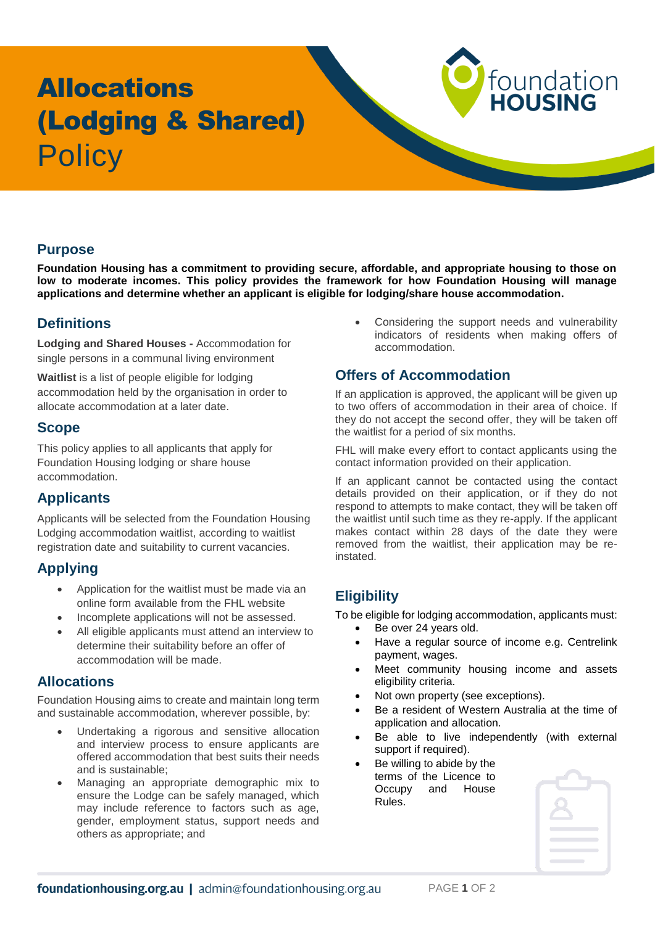# Allocations (Lodging & Shared) **Policy**

### **Purpose**

**Foundation Housing has a commitment to providing secure, affordable, and appropriate housing to those on low to moderate incomes. This policy provides the framework for how Foundation Housing will manage applications and determine whether an applicant is eligible for lodging/share house accommodation.** 

### **Definitions**

**Lodging and Shared Houses -** Accommodation for single persons in a communal living environment

**Waitlist** is a list of people eligible for lodging accommodation held by the organisation in order to allocate accommodation at a later date.

#### **Scope**

This policy applies to all applicants that apply for Foundation Housing lodging or share house accommodation.

## **Applicants**

Applicants will be selected from the Foundation Housing Lodging accommodation waitlist, according to waitlist registration date and suitability to current vacancies.

# **Applying**

- Application for the waitlist must be made via an online form available from the FHL website
- Incomplete applications will not be assessed.
- All eligible applicants must attend an interview to determine their suitability before an offer of accommodation will be made.

#### **Allocations**

Foundation Housing aims to create and maintain long term and sustainable accommodation, wherever possible, by:

- Undertaking a rigorous and sensitive allocation and interview process to ensure applicants are offered accommodation that best suits their needs and is sustainable;
- Managing an appropriate demographic mix to ensure the Lodge can be safely managed, which may include reference to factors such as age, gender, employment status, support needs and others as appropriate; and

 Considering the support needs and vulnerability indicators of residents when making offers of accommodation.

foundation<br>**HOUSING** 

### **Offers of Accommodation**

If an application is approved, the applicant will be given up to two offers of accommodation in their area of choice. If they do not accept the second offer, they will be taken off the waitlist for a period of six months.

FHL will make every effort to contact applicants using the contact information provided on their application.

If an applicant cannot be contacted using the contact details provided on their application, or if they do not respond to attempts to make contact, they will be taken off the waitlist until such time as they re-apply. If the applicant makes contact within 28 days of the date they were removed from the waitlist, their application may be reinstated.

# **Eligibility**

To be eligible for lodging accommodation, applicants must:

- Be over 24 years old.
- Have a regular source of income e.g. Centrelink payment, wages.
- Meet community housing income and assets eligibility criteria.
- Not own property (see exceptions).
- Be a resident of Western Australia at the time of application and allocation.
- Be able to live independently (with external support if required).
- Be willing to abide by the terms of the Licence to Occupy and House Rules.